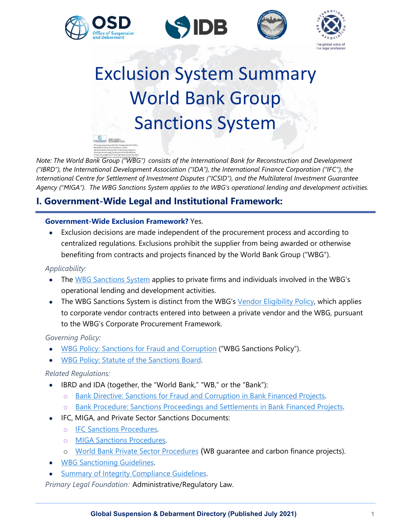







# Exclusion System Summary World Bank Group Sanctions System **C**

*Note: The World Bank Group ("WBG") consists of the International Bank for Reconstruction and Development ("IBRD"), the International Development Association ("IDA"), the International Finance Corporation ("IFC"), the International Centre for Settlement of Investment Disputes ("ICSID"), and the Multilateral Investment Guarantee Agency ("MIGA"). The WBG Sanctions System applies to the WBG's operational lending and development activities.*

# **I. Government-Wide Legal and Institutional Framework:**

## **Government-Wide Exclusion Framework?** Yes.

• Exclusion decisions are made independent of the procurement process and according to centralized regulations. Exclusions prohibit the supplier from being awarded or otherwise benefiting from contracts and projects financed by the World Bank Group ("WBG").

*Applicability:*

- The [WBG Sanctions System](http://www.worldbank.org/sanctions) applies to private firms and individuals involved in the WBG's operational lending and development activities.
- The WBG Sanctions System is distinct from the WBG's [Vendor Eligibility Policy,](https://thedocs.worldbank.org/en/doc/eb2a500aa303af155590482c51f7a7d1-0180022017/original/Vendor-Elegibility-Policy.pdf) which applies to corporate vendor contracts entered into between a private vendor and the WBG, pursuant to the WBG's Corporate Procurement Framework.

*Governing Policy:*

- [WBG Policy: Sanctions for Fraud and Corruption](https://www.worldbank.org/content/dam/documents/sanctions/other-documents/osd/WBG%20Policy%20-%20Sanctions%20for%20Fraud%20and%20Corruption%20(June%2013,%202016).pdf) ("WBG Sanctions Policy").
- WBG Policy: Statute of the Sanctions Board.

## *Related Regulations:*

- IBRD and IDA (together, the "World Bank," "WB," or the "Bank"):
	- o [Bank Directive: Sanctions for Fraud and Corruption in Bank Financed Projects.](https://ppfdocuments.azureedge.net/3871.pdf)
	- o [Bank Procedure: Sanctions Proceedings and Settlements in Bank Financed Projects.](https://www.worldbank.org/content/dam/documents/sanctions/other-documents/osd/World%20Bank%20Procedure%20-%20Sanctions%20Proceedings%20and%20Settlements%20in%20Bank-Financed%20Projects%20(June%2028,%202016).pdf)
- IFC, MIGA, and Private Sector Sanctions Documents:
	- o [IFC Sanctions Procedures.](https://www.worldbank.org/content/dam/documents/sanctions/other-documents/sanctions-board/IFC%20Sanctions%20Procedures%20(as%20adopted%20November%201,%202012).pdf)
	- o [MIGA Sanctions Procedures.](https://www.worldbank.org/content/dam/documents/sanctions/other-documents/sanctions-board/MIGA%20Sanctions%20Procedures%20(as%20adopted%20June%2027,%202013).pdf)
	- o [World Bank Private Sector Procedures](https://www.worldbank.org/content/dam/documents/sanctions/other-documents/sanctions-board/World%20Bank%20Private%20Sector%20Sanctions%20Procedures%20(as%20adopted%20September%2024,%202013).pdf) (WB guarantee and carbon finance projects).
- [WBG Sanctioning Guidelines.](https://www.worldbank.org/content/dam/documents/sanctions/other-documents/osd/World%20Bank%20Group%20Sanctioning%20Guidelines%20January%202011.pdf)
- [Summary of Integrity Compliance Guidelines.](https://www.worldbank.org/content/dam/documents/sanctions/other-documents/sanctions-board/Summary%20of%20Integrity%20Compliance%20Guidelines.pdf)

*Primary Legal Foundation:* Administrative/Regulatory Law.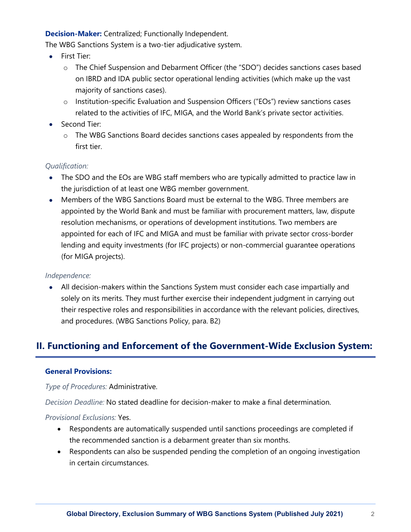## **Decision-Maker:** Centralized; Functionally Independent.

The WBG Sanctions System is a two-tier adjudicative system.

- First Tier:
	- o The Chief Suspension and Debarment Officer (the "SDO") decides sanctions cases based on IBRD and IDA public sector operational lending activities (which make up the vast majority of sanctions cases).
	- o Institution-specific Evaluation and Suspension Officers ("EOs") review sanctions cases related to the activities of IFC, MIGA, and the World Bank's private sector activities.
- Second Tier:
	- o The WBG Sanctions Board decides sanctions cases appealed by respondents from the first tier.

## *Qualification:*

- The SDO and the EOs are WBG staff members who are typically admitted to practice law in the jurisdiction of at least one WBG member government.
- Members of the WBG Sanctions Board must be external to the WBG. Three members are appointed by the World Bank and must be familiar with procurement matters, law, dispute resolution mechanisms, or operations of development institutions. Two members are appointed for each of IFC and MIGA and must be familiar with private sector cross-border lending and equity investments (for IFC projects) or non-commercial guarantee operations (for MIGA projects).

## *Independence:*

• All decision-makers within the Sanctions System must consider each case impartially and solely on its merits. They must further exercise their independent judgment in carrying out their respective roles and responsibilities in accordance with the relevant policies, directives, and procedures. (WBG Sanctions Policy, para. B2)

# **II. Functioning and Enforcement of the Government-Wide Exclusion System:**

## **General Provisions:**

*Type of Procedures:* Administrative.

*Decision Deadline:* No stated deadline for decision-maker to make a final determination.

## *Provisional Exclusions:* Yes.

- Respondents are automatically suspended until sanctions proceedings are completed if the recommended sanction is a debarment greater than six months.
- Respondents can also be suspended pending the completion of an ongoing investigation in certain circumstances.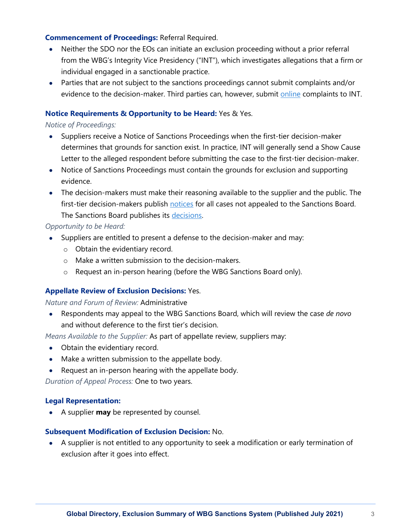## **Commencement of Proceedings:** Referral Required.

- Neither the SDO nor the EOs can initiate an exclusion proceeding without a prior referral from the WBG's Integrity Vice Presidency ("INT"), which investigates allegations that a firm or individual engaged in a sanctionable practice.
- Parties that are not subject to the sanctions proceedings cannot submit complaints and/or evidence to the decision-maker. Third parties can, however, submit [online](https://wbgcmsprod.microsoftcrmportals.com/en-US/anonymous-users/int-fraud-management/create-new-complaint/) complaints to INT.

## **Notice Requirements & Opportunity to be Heard:** Yes & Yes.

## *Notice of Proceedings:*

- Suppliers receive a Notice of Sanctions Proceedings when the first-tier decision-maker determines that grounds for sanction exist. In practice, INT will generally send a Show Cause Letter to the alleged respondent before submitting the case to the first-tier decision-maker.
- Notice of Sanctions Proceedings must contain the grounds for exclusion and supporting evidence.
- The decision-makers must make their reasoning available to the supplier and the public. The first-tier decision-makers publish [notices](https://www.worldbank.org/en/about/unit/sanctions-system/osd#6) for all cases not appealed to the Sanctions Board. The Sanctions Board publishes its [decisions.](https://www.worldbank.org/en/about/unit/sanctions-system/sanctions-board#4)

## *Opportunity to be Heard:*

- Suppliers are entitled to present a defense to the decision-maker and may:
	- o Obtain the evidentiary record.
	- o Make a written submission to the decision-makers.
	- o Request an in-person hearing (before the WBG Sanctions Board only).

## **Appellate Review of Exclusion Decisions:** Yes.

## *Nature and Forum of Review:* Administrative

• Respondents may appeal to the WBG Sanctions Board, which will review the case *de novo* and without deference to the first tier's decision.

*Means Available to the Supplier:* As part of appellate review, suppliers may:

- Obtain the evidentiary record.
- Make a written submission to the appellate body.
- Request an in-person hearing with the appellate body.

*Duration of Appeal Process:* One to two years.

## **Legal Representation:**

• A supplier **may** be represented by counsel.

## **Subsequent Modification of Exclusion Decision:** No.

• A supplier is not entitled to any opportunity to seek a modification or early termination of exclusion after it goes into effect.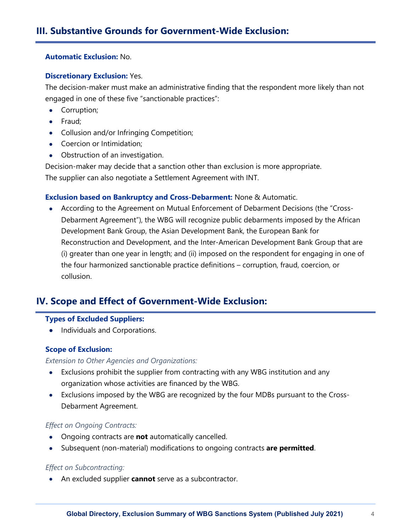#### **Automatic Exclusion:** No.

#### **Discretionary Exclusion:** Yes.

The decision-maker must make an administrative finding that the respondent more likely than not engaged in one of these five "sanctionable practices":

- Corruption;
- Fraud;
- Collusion and/or Infringing Competition;
- Coercion or Intimidation;
- Obstruction of an investigation.

Decision-maker may decide that a sanction other than exclusion is more appropriate. The supplier can also negotiate a Settlement Agreement with INT.

#### **Exclusion based on Bankruptcy and Cross-Debarment:** None & Automatic.

• According to the Agreement on Mutual Enforcement of Debarment Decisions (the "Cross-Debarment Agreement"), the WBG will recognize public debarments imposed by the African Development Bank Group, the Asian Development Bank, the European Bank for Reconstruction and Development, and the Inter-American Development Bank Group that are (i) greater than one year in length; and (ii) imposed on the respondent for engaging in one of the four harmonized sanctionable practice definitions – corruption, fraud, coercion, or collusion.

## **IV. Scope and Effect of Government-Wide Exclusion:**

#### **Types of Excluded Suppliers:**

• Individuals and Corporations.

#### **Scope of Exclusion:**

#### *Extension to Other Agencies and Organizations:*

- Exclusions prohibit the supplier from contracting with any WBG institution and any organization whose activities are financed by the WBG.
- Exclusions imposed by the WBG are recognized by the four MDBs pursuant to the Cross-Debarment Agreement.

#### *Effect on Ongoing Contracts:*

- Ongoing contracts are **not** automatically cancelled.
- Subsequent (non-material) modifications to ongoing contracts **are permitted**.

#### *Effect on Subcontracting:*

• An excluded supplier **cannot** serve as a subcontractor.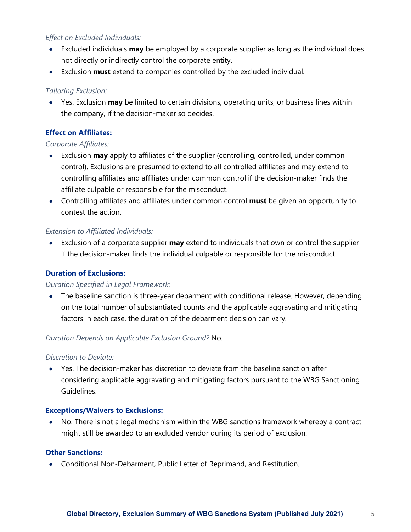## *Effect on Excluded Individuals:*

- Excluded individuals **may** be employed by a corporate supplier as long as the individual does not directly or indirectly control the corporate entity.
- Exclusion **must** extend to companies controlled by the excluded individual.

## *Tailoring Exclusion:*

• Yes. Exclusion **may** be limited to certain divisions, operating units, or business lines within the company, if the decision-maker so decides.

## **Effect on Affiliates:**

## *Corporate Affiliates:*

- Exclusion **may** apply to affiliates of the supplier (controlling, controlled, under common control). Exclusions are presumed to extend to all controlled affiliates and may extend to controlling affiliates and affiliates under common control if the decision-maker finds the affiliate culpable or responsible for the misconduct.
- Controlling affiliates and affiliates under common control **must** be given an opportunity to contest the action.

## *Extension to Affiliated Individuals:*

• Exclusion of a corporate supplier **may** extend to individuals that own or control the supplier if the decision-maker finds the individual culpable or responsible for the misconduct.

## **Duration of Exclusions:**

## *Duration Specified in Legal Framework:*

• The baseline sanction is three-year debarment with conditional release. However, depending on the total number of substantiated counts and the applicable aggravating and mitigating factors in each case, the duration of the debarment decision can vary.

## *Duration Depends on Applicable Exclusion Ground?* No.

## *Discretion to Deviate:*

• Yes. The decision-maker has discretion to deviate from the baseline sanction after considering applicable aggravating and mitigating factors pursuant to the WBG Sanctioning Guidelines.

## **Exceptions/Waivers to Exclusions:**

• No. There is not a legal mechanism within the WBG sanctions framework whereby a contract might still be awarded to an excluded vendor during its period of exclusion.

## **Other Sanctions:**

• Conditional Non-Debarment, Public Letter of Reprimand, and Restitution.